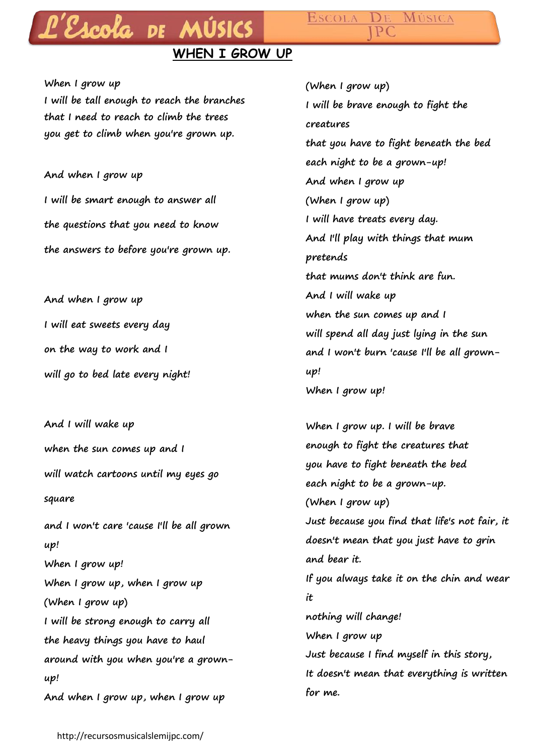#### MÚSICA ESCOLA  $DE$ P<sub>C</sub>

### **WHEN I GROW UP**

#### **When I grow up**

**I will be tall enough to reach the branches that I need to reach to climb the trees you get to climb when you're grown up.**

L'Escola de MÚSICS

## **And when I grow up I will be smart enough to answer all the questions that you need to know the answers to before you're grown up.**

**And when I grow up I will eat sweets every day on the way to work and I will go to bed late every night!**

**And I will wake up when the sun comes up and I will watch cartoons until my eyes go square and I won't care 'cause I'll be all grown up! When I grow up! When I grow up, when I grow up (When I grow up) I will be strong enough to carry all the heavy things you have to haul around with you when you're a grownup! And when I grow up, when I grow up**

**(When I grow up) I will be brave enough to fight the creatures that you have to fight beneath the bed each night to be a grown-up! And when I grow up (When I grow up) I will have treats every day. And I'll play with things that mum pretends that mums don't think are fun. And I will wake up when the sun comes up and I will spend all day just lying in the sun and I won't burn 'cause I'll be all grownup! When I grow up!**

**When I grow up. I will be brave enough to fight the creatures that you have to fight beneath the bed each night to be a grown-up. (When I grow up) Just because you find that life's not fair, it doesn't mean that you just have to grin and bear it. If you always take it on the chin and wear it nothing will change! When I grow up Just because I find myself in this story, It doesn't mean that everything is written for me.**